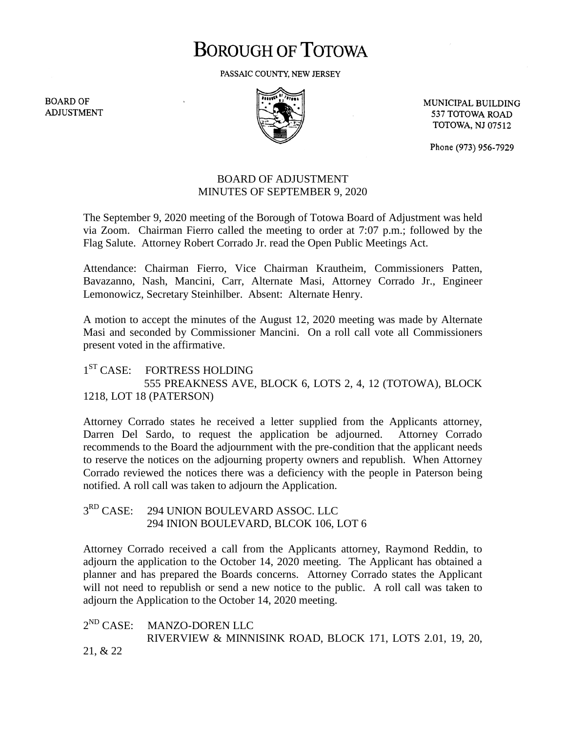# **BOROUGH OF TOTOWA**

PASSAIC COUNTY, NEW JERSEY

**BOARD OF ADJUSTMENT** 



MUNICIPAL BUILDING 537 TOTOWA ROAD **TOTOWA, NJ 07512** 

Phone (973) 956-7929

## BOARD OF ADJUSTMENT MINUTES OF SEPTEMBER 9, 2020

The September 9, 2020 meeting of the Borough of Totowa Board of Adjustment was held via Zoom. Chairman Fierro called the meeting to order at 7:07 p.m.; followed by the Flag Salute. Attorney Robert Corrado Jr. read the Open Public Meetings Act.

Attendance: Chairman Fierro, Vice Chairman Krautheim, Commissioners Patten, Bavazanno, Nash, Mancini, Carr, Alternate Masi, Attorney Corrado Jr., Engineer Lemonowicz, Secretary Steinhilber. Absent: Alternate Henry.

A motion to accept the minutes of the August 12, 2020 meeting was made by Alternate Masi and seconded by Commissioner Mancini. On a roll call vote all Commissioners present voted in the affirmative.

## 1<sup>ST</sup> CASE: FORTRESS HOLDING 555 PREAKNESS AVE, BLOCK 6, LOTS 2, 4, 12 (TOTOWA), BLOCK 1218, LOT 18 (PATERSON)

Attorney Corrado states he received a letter supplied from the Applicants attorney, Darren Del Sardo, to request the application be adjourned. Attorney Corrado recommends to the Board the adjournment with the pre-condition that the applicant needs to reserve the notices on the adjourning property owners and republish. When Attorney Corrado reviewed the notices there was a deficiency with the people in Paterson being notified. A roll call was taken to adjourn the Application.

#### $3<sup>RD</sup> CASE:$ 294 UNION BOULEVARD ASSOC. LLC 294 INION BOULEVARD, BLCOK 106, LOT 6

Attorney Corrado received a call from the Applicants attorney, Raymond Reddin, to adjourn the application to the October 14, 2020 meeting. The Applicant has obtained a planner and has prepared the Boards concerns. Attorney Corrado states the Applicant will not need to republish or send a new notice to the public. A roll call was taken to adjourn the Application to the October 14, 2020 meeting.

 $2^{ND}$  CASE: MANZO-DOREN LLC RIVERVIEW & MINNISINK ROAD, BLOCK 171, LOTS 2.01, 19, 20, 21, & 22